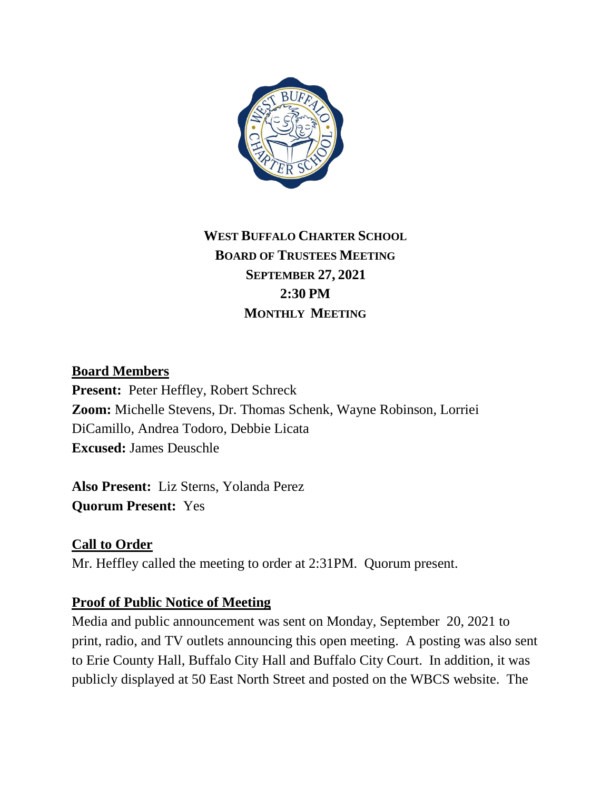

# **WEST BUFFALO CHARTER SCHOOL BOARD OF TRUSTEES MEETING SEPTEMBER 27, 2021 2:30 PM MONTHLY MEETING**

### **Board Members**

**Present:** Peter Heffley, Robert Schreck **Zoom:** Michelle Stevens, Dr. Thomas Schenk, Wayne Robinson, Lorriei DiCamillo, Andrea Todoro, Debbie Licata **Excused:** James Deuschle

**Also Present:** Liz Sterns, Yolanda Perez **Quorum Present:** Yes

## **Call to Order**

Mr. Heffley called the meeting to order at 2:31PM. Quorum present.

#### **Proof of Public Notice of Meeting**

Media and public announcement was sent on Monday, September 20, 2021 to print, radio, and TV outlets announcing this open meeting. A posting was also sent to Erie County Hall, Buffalo City Hall and Buffalo City Court. In addition, it was publicly displayed at 50 East North Street and posted on the WBCS website. The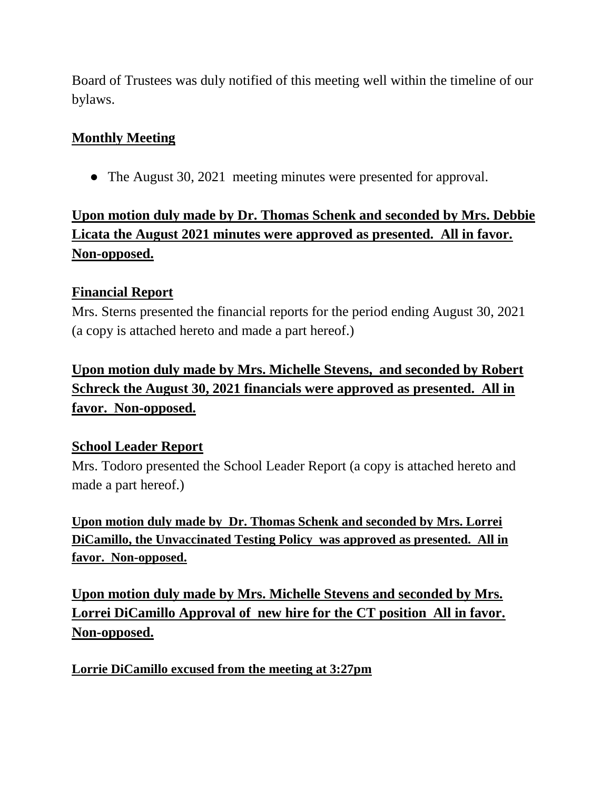Board of Trustees was duly notified of this meeting well within the timeline of our bylaws.

## **Monthly Meeting**

• The August 30, 2021 meeting minutes were presented for approval.

# **Upon motion duly made by Dr. Thomas Schenk and seconded by Mrs. Debbie Licata the August 2021 minutes were approved as presented. All in favor. Non-opposed.**

## **Financial Report**

Mrs. Sterns presented the financial reports for the period ending August 30, 2021 (a copy is attached hereto and made a part hereof.)

**Upon motion duly made by Mrs. Michelle Stevens, and seconded by Robert Schreck the August 30, 2021 financials were approved as presented. All in favor. Non-opposed.** 

## **School Leader Report**

Mrs. Todoro presented the School Leader Report (a copy is attached hereto and made a part hereof.)

**Upon motion duly made by Dr. Thomas Schenk and seconded by Mrs. Lorrei DiCamillo, the Unvaccinated Testing Policy was approved as presented. All in favor. Non-opposed.** 

**Upon motion duly made by Mrs. Michelle Stevens and seconded by Mrs. Lorrei DiCamillo Approval of new hire for the CT position All in favor. Non-opposed.**

**Lorrie DiCamillo excused from the meeting at 3:27pm**